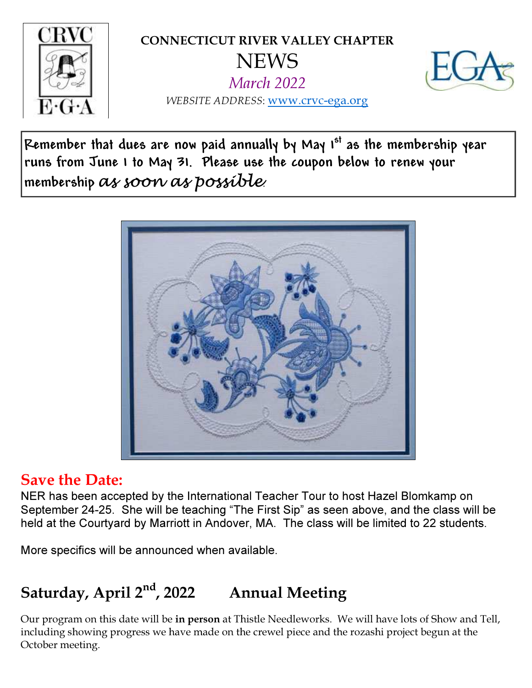

CONNECTICUT RIVER VALLEY CHAPTER **NEWS** 

March 2022



WEBSITE ADDRESS: www.crvc-ega.org

Remember that dues are now paid annually by May  $1<sup>st</sup>$  as the membership year runs from June1 to May31. Please use the coupon below to renew your membership as soon as possible.



#### Save the Date:

NER has been accepted by the International Teacher Tour to host Hazel Blomkamp on September 24-25. She will be teaching "The First Sip" as seen above, and the class will be held at the Courtyard by Marriott in Andover, MA. The class will be limited to 22 students.

More specifics will be announced when available.

# Saturday, April  $2<sup>nd</sup>$ , 2022 Annual Meeting

Our program on this date will be in person at Thistle Needleworks. We will have lots of Show and Tell, including showing progress we have made on the crewel piece and the rozashi project begun at the October meeting.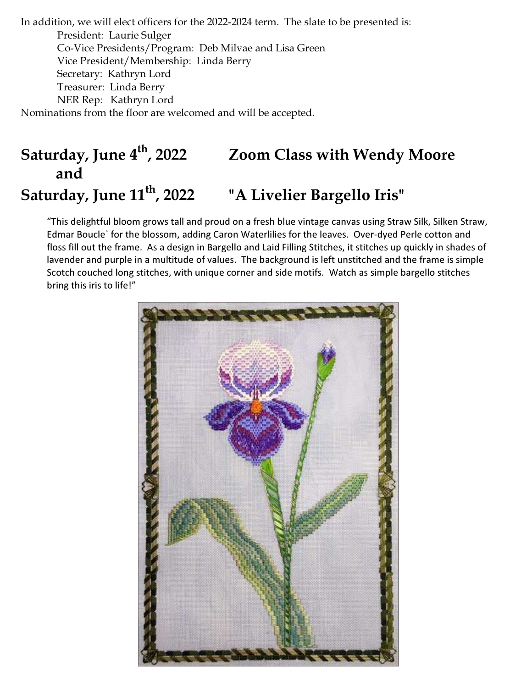In addition, we will elect officers for the 2022-2024 term. The slate to be presented is: President: Laurie Sulger Co-Vice Presidents/Program: Deb Milvae and Lisa Green Vice President/Membership: Linda Berry Secretary: Kathryn Lord Treasurer: Linda Berry NER Rep: Kathryn Lord Nominations from the floor are welcomed and will be accepted.

## Saturday, June 4<sup>th</sup>, 2022 Zoom Class with Wendy Moore and Saturday, June 11<sup>th</sup>, 2022 "A Livelier Bargello Iris"

"This delightful bloom grows tall and proud on a fresh blue vintage canvas using Straw Silk, Silken Straw, Edmar Boucle` for the blossom, adding Caron Waterlilies for the leaves. Over-dyed Perle cotton and floss fill out the frame. As a design in Bargello and Laid Filling Stitches, it stitches up quickly in shades of lavender and purple in a multitude of values. The background is left unstitched and the frame is simple Scotch couched long stitches, with unique corner and side motifs. Watch as simple bargello stitches bring this iris to life!"

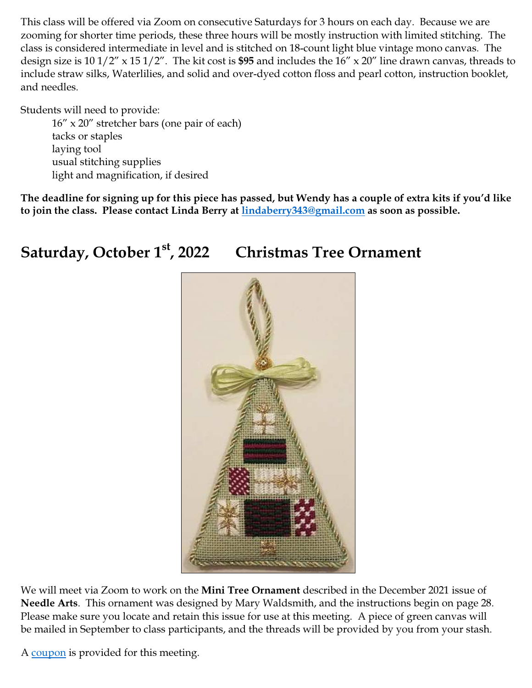This class will be offered via Zoom on consecutive Saturdays for 3 hours on each day. Because we are zooming for shorter time periods, these three hours will be mostly instruction with limited stitching. The class is considered intermediate in level and is stitched on 18-count light blue vintage mono canvas. The design size is  $10 \frac{1}{2}$  x  $15 \frac{1}{2}$ . The kit cost is \$95 and includes the  $16$ " x  $20$ " line drawn canvas, threads to include straw silks, Waterlilies, and solid and over-dyed cotton floss and pearl cotton, instruction booklet, and needles.

Students will need to provide:

 16" x 20" stretcher bars (one pair of each) tacks or staples laying tool usual stitching supplies light and magnification, if desired

The deadline for signing up for this piece has passed, but Wendy has a couple of extra kits if you'd like to join the class. Please contact Linda Berry at lindaberry343@gmail.com as soon as possible.

#### Saturday, October 1<sup>st</sup>, 2022 Christmas Tree Ornament



We will meet via Zoom to work on the Mini Tree Ornament described in the December 2021 issue of Needle Arts. This ornament was designed by Mary Waldsmith, and the instructions begin on page 28. Please make sure you locate and retain this issue for use at this meeting. A piece of green canvas will be mailed in September to class participants, and the threads will be provided by you from your stash.

A coupon is provided for this meeting.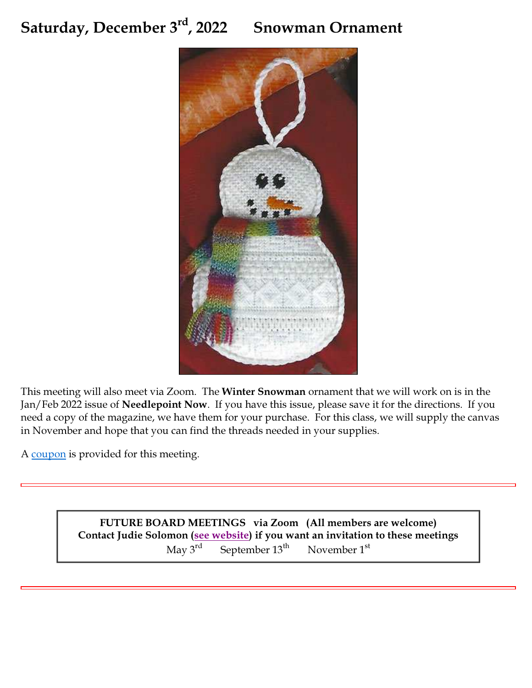### Saturday, December 3<sup>rd</sup>, 2022 Snowman Ornament



This meeting will also meet via Zoom. The Winter Snowman ornament that we will work on is in the Jan/Feb 2022 issue of Needlepoint Now. If you have this issue, please save it for the directions. If you need a copy of the magazine, we have them for your purchase. For this class, we will supply the canvas in November and hope that you can find the threads needed in your supplies.

A coupon is provided for this meeting.

FUTURE BOARD MEETINGS via Zoom (All members are welcome) Contact Judie Solomon (see website) if you want an invitation to these meetings May  $3^{rd}$  September  $13^{th}$  November  $1^{st}$ September  $13<sup>th</sup>$  November  $1<sup>st</sup>$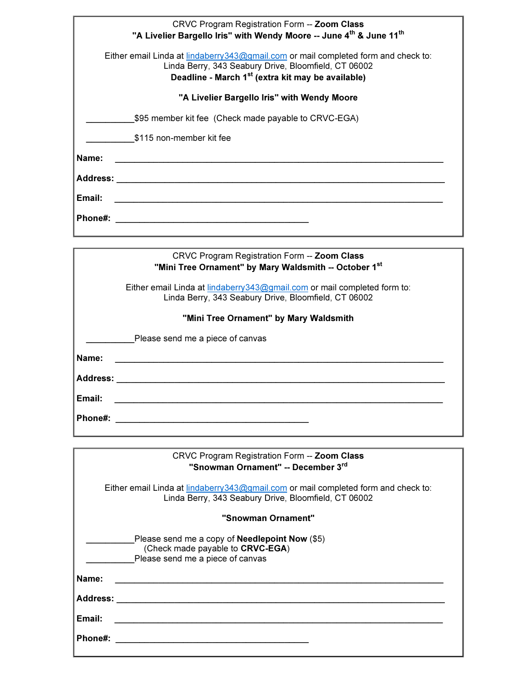|               | CRVC Program Registration Form -- Zoom Class                                                                                                                                                                 |
|---------------|--------------------------------------------------------------------------------------------------------------------------------------------------------------------------------------------------------------|
|               | "A Livelier Bargello Iris" with Wendy Moore -- June 4th & June 11th                                                                                                                                          |
|               | Either email Linda at lindaberry 343@gmail.com or mail completed form and check to:<br>Linda Berry, 343 Seabury Drive, Bloomfield, CT 06002<br>Deadline - March 1 <sup>st</sup> (extra kit may be available) |
|               | "A Livelier Bargello Iris" with Wendy Moore                                                                                                                                                                  |
|               | \$95 member kit fee (Check made payable to CRVC-EGA)                                                                                                                                                         |
|               | \$115 non-member kit fee                                                                                                                                                                                     |
| Name:         |                                                                                                                                                                                                              |
| Address: www. |                                                                                                                                                                                                              |
| Email:        |                                                                                                                                                                                                              |
| Phone#:       |                                                                                                                                                                                                              |
|               |                                                                                                                                                                                                              |
|               | CDVC Dreaman Peqietration Form <b>Zoom Class</b>                                                                                                                                                             |

| CRVC Program Registration Form -- Zoom Class<br>"Mini Tree Ornament" by Mary Waldsmith -- October 1st |                                                                                                                                   |  |  |
|-------------------------------------------------------------------------------------------------------|-----------------------------------------------------------------------------------------------------------------------------------|--|--|
|                                                                                                       | Either email Linda at lindaberry 343@gmail.com or mail completed form to:<br>Linda Berry, 343 Seabury Drive, Bloomfield, CT 06002 |  |  |
|                                                                                                       | "Mini Tree Ornament" by Mary Waldsmith                                                                                            |  |  |
|                                                                                                       | Please send me a piece of canvas                                                                                                  |  |  |
| Name:                                                                                                 |                                                                                                                                   |  |  |
| <b>Address:</b>                                                                                       |                                                                                                                                   |  |  |
| Email:                                                                                                |                                                                                                                                   |  |  |
| Phone#:                                                                                               |                                                                                                                                   |  |  |
|                                                                                                       |                                                                                                                                   |  |  |

| CRVC Program Registration Form -- Zoom Class<br>"Snowman Ornament" -- December 3rd                                                         |  |  |
|--------------------------------------------------------------------------------------------------------------------------------------------|--|--|
| Either email Linda at lindaberry343@gmail.com or mail completed form and check to:<br>Linda Berry, 343 Seabury Drive, Bloomfield, CT 06002 |  |  |
| "Snowman Ornament"                                                                                                                         |  |  |
| Please send me a copy of <b>Needlepoint Now</b> (\$5)<br>(Check made payable to CRVC-EGA)<br>Please send me a piece of canvas              |  |  |
| Name:                                                                                                                                      |  |  |
| Address:                                                                                                                                   |  |  |
| Email:                                                                                                                                     |  |  |
| Phone#:                                                                                                                                    |  |  |
|                                                                                                                                            |  |  |